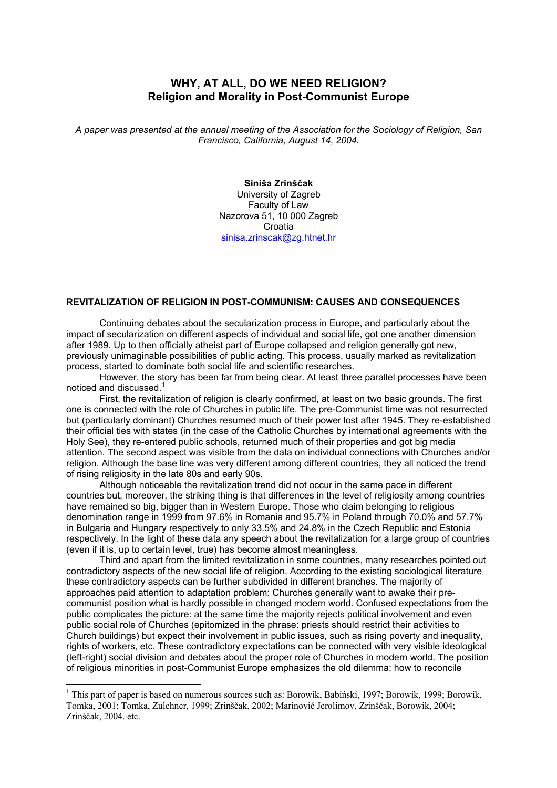## **WHY, AT ALL, DO WE NEED RELIGION? Religion and Morality in Post-Communist Europe**

*A paper was presented at the annual meeting of the Association for the Sociology of Religion, San Francisco, California, August 14, 2004.* 

#### **Siniša Zrinščak**

University of Zagreb Faculty of Law Nazorova 51, 10 000 Zagreb **Croatia** [sinisa.zrinscak@zg.htnet.hr](mailto:sinisa.zrinscak@zg.htnet.hr)

### **REVITALIZATION OF RELIGION IN POST-COMMUNISM: CAUSES AND CONSEQUENCES**

Continuing debates about the secularization process in Europe, and particularly about the impact of secularization on different aspects of individual and social life, got one another dimension after 1989. Up to then officially atheist part of Europe collapsed and religion generally got new, previously unimaginable possibilities of public acting. This process, usually marked as revitalization process, started to dominate both social life and scientific researches.

 However, the story has been far from being clear. At least three parallel processes have been noticed and discussed.<sup>[1](#page-0-0)</sup>

 First, the revitalization of religion is clearly confirmed, at least on two basic grounds. The first one is connected with the role of Churches in public life. The pre-Communist time was not resurrected but (particularly dominant) Churches resumed much of their power lost after 1945. They re-established their official ties with states (in the case of the Catholic Churches by international agreements with the Holy See), they re-entered public schools, returned much of their properties and got big media attention. The second aspect was visible from the data on individual connections with Churches and/or religion. Although the base line was very different among different countries, they all noticed the trend of rising religiosity in the late 80s and early 90s.

 Although noticeable the revitalization trend did not occur in the same pace in different countries but, moreover, the striking thing is that differences in the level of religiosity among countries have remained so big, bigger than in Western Europe. Those who claim belonging to religious denomination range in 1999 from 97.6% in Romania and 95.7% in Poland through 70.0% and 57.7% in Bulgaria and Hungary respectively to only 33.5% and 24.8% in the Czech Republic and Estonia respectively. In the light of these data any speech about the revitalization for a large group of countries (even if it is, up to certain level, true) has become almost meaningless.

 Third and apart from the limited revitalization in some countries, many researches pointed out contradictory aspects of the new social life of religion. According to the existing sociological literature these contradictory aspects can be further subdivided in different branches. The majority of approaches paid attention to adaptation problem: Churches generally want to awake their precommunist position what is hardly possible in changed modern world. Confused expectations from the public complicates the picture: at the same time the majority rejects political involvement and even public social role of Churches (epitomized in the phrase: priests should restrict their activities to Church buildings) but expect their involvement in public issues, such as rising poverty and inequality, rights of workers, etc. These contradictory expectations can be connected with very visible ideological (left-right) social division and debates about the proper role of Churches in modern world. The position of religious minorities in post-Communist Europe emphasizes the old dilemma: how to reconcile

1

<span id="page-0-0"></span><sup>&</sup>lt;sup>1</sup> This part of paper is based on numerous sources such as: Borowik, Babiński, 1997; Borowik, 1999; Borowik, Tomka, 2001; Tomka, Zulehner, 1999; Zrinščak, 2002; Marinović Jerolimov, Zrinščak, Borowik, 2004; Zrinščak, 2004. etc.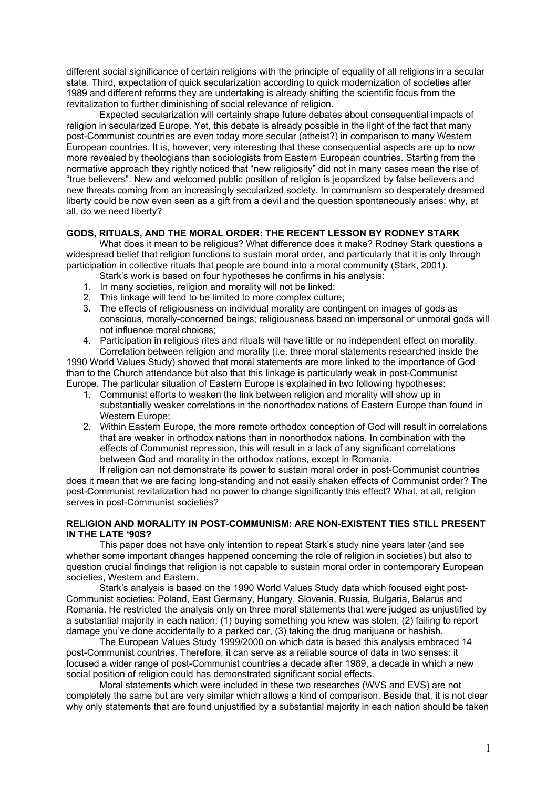different social significance of certain religions with the principle of equality of all religions in a secular state. Third, expectation of quick secularization according to quick modernization of societies after 1989 and different reforms they are undertaking is already shifting the scientific focus from the revitalization to further diminishing of social relevance of religion.

Expected secularization will certainly shape future debates about consequential impacts of religion in secularized Europe. Yet, this debate is already possible in the light of the fact that many post-Communist countries are even today more secular (atheist?) in comparison to many Western European countries. It is, however, very interesting that these consequential aspects are up to now more revealed by theologians than sociologists from Eastern European countries. Starting from the normative approach they rightly noticed that "new religiosity" did not in many cases mean the rise of "true believers". New and welcomed public position of religion is jeopardized by false believers and new threats coming from an increasingly secularized society. In communism so desperately dreamed liberty could be now even seen as a gift from a devil and the question spontaneously arises: why, at all, do we need liberty?

### **GODS, RITUALS, AND THE MORAL ORDER: THE RECENT LESSON BY RODNEY STARK**

What does it mean to be religious? What difference does it make? Rodney Stark questions a widespread belief that religion functions to sustain moral order, and particularly that it is only through participation in collective rituals that people are bound into a moral community (Stark, 2001).

- Stark's work is based on four hypotheses he confirms in his analysis:
- 1. In many societies, religion and morality will not be linked;
- 2. This linkage will tend to be limited to more complex culture;
- 3. The effects of religiousness on individual morality are contingent on images of gods as conscious, morally-concerned beings; religiousness based on impersonal or unmoral gods will not influence moral choices;
- 4. Participation in religious rites and rituals will have little or no independent effect on morality. Correlation between religion and morality (i.e. three moral statements researched inside the

1990 World Values Study) showed that moral statements are more linked to the importance of God than to the Church attendance but also that this linkage is particularly weak in post-Communist Europe. The particular situation of Eastern Europe is explained in two following hypotheses:

- 1. Communist efforts to weaken the link between religion and morality will show up in substantially weaker correlations in the nonorthodox nations of Eastern Europe than found in Western Europe;
- 2. Within Eastern Europe, the more remote orthodox conception of God will result in correlations that are weaker in orthodox nations than in nonorthodox nations. In combination with the effects of Communist repression, this will result in a lack of any significant correlations between God and morality in the orthodox nations, except in Romania.

If religion can not demonstrate its power to sustain moral order in post-Communist countries does it mean that we are facing long-standing and not easily shaken effects of Communist order? The post-Communist revitalization had no power to change significantly this effect? What, at all, religion serves in post-Communist societies?

#### **RELIGION AND MORALITY IN POST-COMMUNISM: ARE NON-EXISTENT TIES STILL PRESENT IN THE LATE '90S?**

This paper does not have only intention to repeat Stark's study nine years later (and see whether some important changes happened concerning the role of religion in societies) but also to question crucial findings that religion is not capable to sustain moral order in contemporary European societies, Western and Eastern.

Stark's analysis is based on the 1990 World Values Study data which focused eight post-Communist societies: Poland, East Germany, Hungary, Slovenia, Russia, Bulgaria, Belarus and Romania. He restricted the analysis only on three moral statements that were judged as unjustified by a substantial majority in each nation: (1) buying something you knew was stolen, (2) failing to report damage you've done accidentally to a parked car, (3) taking the drug marijuana or hashish.

The European Values Study 1999/2000 on which data is based this analysis embraced 14 post-Communist countries. Therefore, it can serve as a reliable source of data in two senses: it focused a wider range of post-Communist countries a decade after 1989, a decade in which a new social position of religion could has demonstrated significant social effects.

Moral statements which were included in these two researches (WVS and EVS) are not completely the same but are very similar which allows a kind of comparison. Beside that, it is not clear why only statements that are found unjustified by a substantial majority in each nation should be taken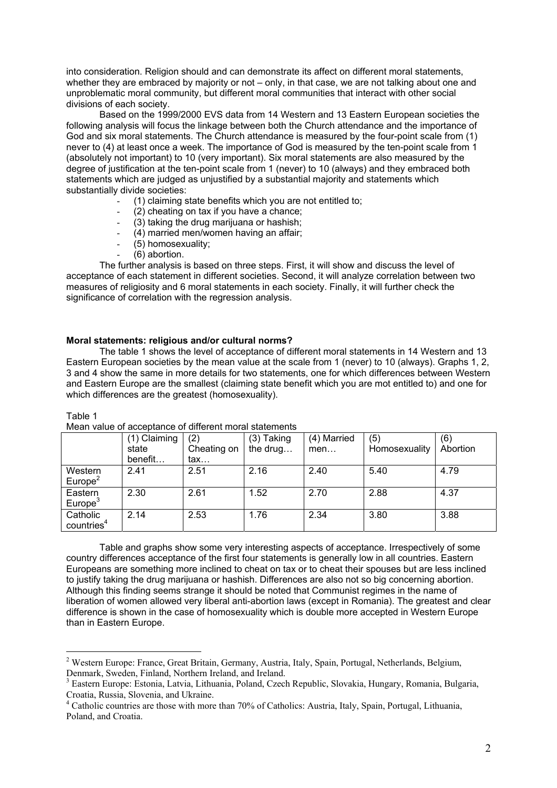into consideration. Religion should and can demonstrate its affect on different moral statements, whether they are embraced by majority or not – only, in that case, we are not talking about one and unproblematic moral community, but different moral communities that interact with other social divisions of each society.

Based on the 1999/2000 EVS data from 14 Western and 13 Eastern European societies the following analysis will focus the linkage between both the Church attendance and the importance of God and six moral statements. The Church attendance is measured by the four-point scale from (1) never to (4) at least once a week. The importance of God is measured by the ten-point scale from 1 (absolutely not important) to 10 (very important). Six moral statements are also measured by the degree of justification at the ten-point scale from 1 (never) to 10 (always) and they embraced both statements which are judged as unjustified by a substantial majority and statements which substantially divide societies:

- (1) claiming state benefits which you are not entitled to;
- $(2)$  cheating on tax if you have a chance;
- (3) taking the drug marijuana or hashish;
- $(4)$  married men/women having an affair;
- (5) homosexuality;
- (6) abortion.

The further analysis is based on three steps. First, it will show and discuss the level of acceptance of each statement in different societies. Second, it will analyze correlation between two measures of religiosity and 6 moral statements in each society. Finally, it will further check the significance of correlation with the regression analysis.

#### **Moral statements: religious and/or cultural norms?**

The table 1 shows the level of acceptance of different moral statements in 14 Western and 13 Eastern European societies by the mean value at the scale from 1 (never) to 10 (always). Graphs 1, 2, 3 and 4 show the same in more details for two statements, one for which differences between Western and Eastern Europe are the smallest (claiming state benefit which you are mot entitled to) and one for which differences are the greatest (homosexuality).

#### Table 1

1

|                        | (1) Claiming | (2)         | $(3)$ Taking | (4) Married | (5)           | (6)      |
|------------------------|--------------|-------------|--------------|-------------|---------------|----------|
|                        | state        | Cheating on | the drug     | men         | Homosexuality | Abortion |
|                        | benefit      | tax         |              |             |               |          |
| Western                | 2.41         | 2.51        | 2.16         | 2.40        | 5.40          | 4.79     |
| Europe <sup>2</sup>    |              |             |              |             |               |          |
| Eastern                | 2.30         | 2.61        | 1.52         | 2.70        | 2.88          | 4.37     |
| Europe <sup>3</sup>    |              |             |              |             |               |          |
| Catholic               | 2.14         | 2.53        | 1.76         | 2.34        | 3.80          | 3.88     |
| countries <sup>4</sup> |              |             |              |             |               |          |

Mean value of acceptance of different moral statements

Table and graphs show some very interesting aspects of acceptance. Irrespectively of some country differences acceptance of the first four statements is generally low in all countries. Eastern Europeans are something more inclined to cheat on tax or to cheat their spouses but are less inclined to justify taking the drug marijuana or hashish. Differences are also not so big concerning abortion. Although this finding seems strange it should be noted that Communist regimes in the name of liberation of women allowed very liberal anti-abortion laws (except in Romania). The greatest and clear difference is shown in the case of homosexuality which is double more accepted in Western Europe than in Eastern Europe.

<span id="page-2-0"></span><sup>&</sup>lt;sup>2</sup> Western Europe: France, Great Britain, Germany, Austria, Italy, Spain, Portugal, Netherlands, Belgium, Denmark, Sweden, Finland, Northern Ireland, and Ireland.

<span id="page-2-1"></span> $^3$  Eastern Europe: Estonia, Latvia, Lithuania, Poland, Czech Republic, Slovakia, Hungary, Romania, Bulgaria, Croatia, Russia, Slovenia, and Ukraine. <sup>4</sup>

<span id="page-2-2"></span><sup>&</sup>lt;sup>4</sup> Catholic countries are those with more than 70% of Catholics: Austria, Italy, Spain, Portugal, Lithuania, Poland, and Croatia.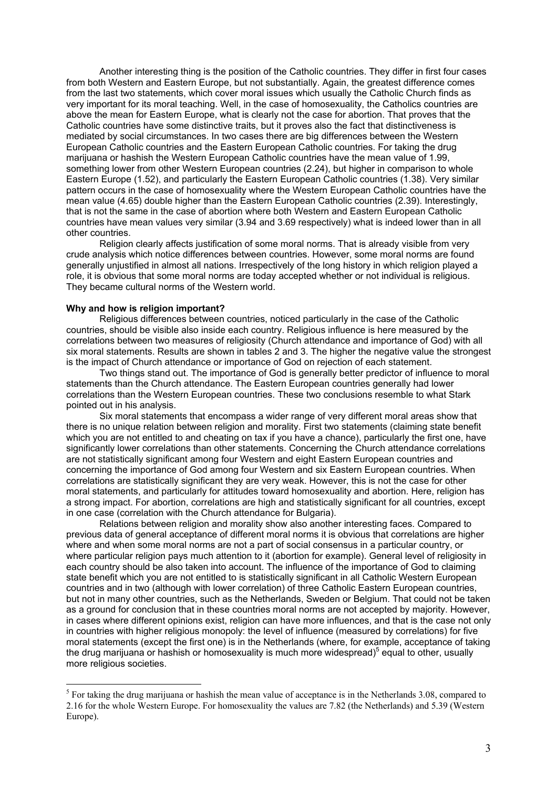Another interesting thing is the position of the Catholic countries. They differ in first four cases from both Western and Eastern Europe, but not substantially. Again, the greatest difference comes from the last two statements, which cover moral issues which usually the Catholic Church finds as very important for its moral teaching. Well, in the case of homosexuality, the Catholics countries are above the mean for Eastern Europe, what is clearly not the case for abortion. That proves that the Catholic countries have some distinctive traits, but it proves also the fact that distinctiveness is mediated by social circumstances. In two cases there are big differences between the Western European Catholic countries and the Eastern European Catholic countries. For taking the drug marijuana or hashish the Western European Catholic countries have the mean value of 1.99, something lower from other Western European countries (2.24), but higher in comparison to whole Eastern Europe (1.52), and particularly the Eastern European Catholic countries (1.38). Very similar pattern occurs in the case of homosexuality where the Western European Catholic countries have the mean value (4.65) double higher than the Eastern European Catholic countries (2.39). Interestingly, that is not the same in the case of abortion where both Western and Eastern European Catholic countries have mean values very similar (3.94 and 3.69 respectively) what is indeed lower than in all other countries.

Religion clearly affects justification of some moral norms. That is already visible from very crude analysis which notice differences between countries. However, some moral norms are found generally unjustified in almost all nations. Irrespectively of the long history in which religion played a role, it is obvious that some moral norms are today accepted whether or not individual is religious. They became cultural norms of the Western world.

#### **Why and how is religion important?**

1

Religious differences between countries, noticed particularly in the case of the Catholic countries, should be visible also inside each country. Religious influence is here measured by the correlations between two measures of religiosity (Church attendance and importance of God) with all six moral statements. Results are shown in tables 2 and 3. The higher the negative value the strongest is the impact of Church attendance or importance of God on rejection of each statement.

Two things stand out. The importance of God is generally better predictor of influence to moral statements than the Church attendance. The Eastern European countries generally had lower correlations than the Western European countries. These two conclusions resemble to what Stark pointed out in his analysis.

Six moral statements that encompass a wider range of very different moral areas show that there is no unique relation between religion and morality. First two statements (claiming state benefit which you are not entitled to and cheating on tax if you have a chance), particularly the first one, have significantly lower correlations than other statements. Concerning the Church attendance correlations are not statistically significant among four Western and eight Eastern European countries and concerning the importance of God among four Western and six Eastern European countries. When correlations are statistically significant they are very weak. However, this is not the case for other moral statements, and particularly for attitudes toward homosexuality and abortion. Here, religion has a strong impact. For abortion, correlations are high and statistically significant for all countries, except in one case (correlation with the Church attendance for Bulgaria).

Relations between religion and morality show also another interesting faces. Compared to previous data of general acceptance of different moral norms it is obvious that correlations are higher where and when some moral norms are not a part of social consensus in a particular country, or where particular religion pays much attention to it (abortion for example). General level of religiosity in each country should be also taken into account. The influence of the importance of God to claiming state benefit which you are not entitled to is statistically significant in all Catholic Western European countries and in two (although with lower correlation) of three Catholic Eastern European countries, but not in many other countries, such as the Netherlands, Sweden or Belgium. That could not be taken as a ground for conclusion that in these countries moral norms are not accepted by majority. However, in cases where different opinions exist, religion can have more influences, and that is the case not only in countries with higher religious monopoly: the level of influence (measured by correlations) for five moral statements (except the first one) is in the Netherlands (where, for example, acceptance of taking the drug marijuana or hashish or homosexuality is much more widespread)<sup>[5](#page-3-0)</sup> equal to other, usually more religious societies.

<span id="page-3-0"></span> $<sup>5</sup>$  For taking the drug marijuana or hashish the mean value of acceptance is in the Netherlands 3.08, compared to</sup> 2.16 for the whole Western Europe. For homosexuality the values are 7.82 (the Netherlands) and 5.39 (Western Europe).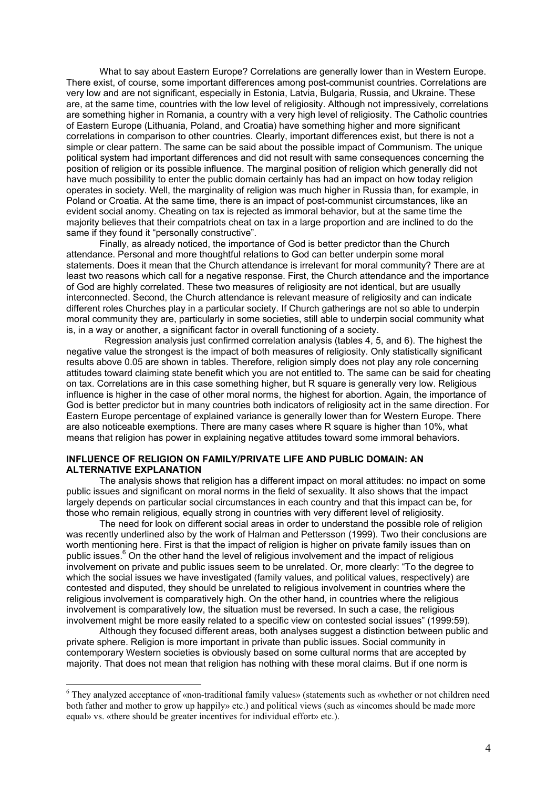What to say about Eastern Europe? Correlations are generally lower than in Western Europe. There exist, of course, some important differences among post-communist countries. Correlations are very low and are not significant, especially in Estonia, Latvia, Bulgaria, Russia, and Ukraine. These are, at the same time, countries with the low level of religiosity. Although not impressively, correlations are something higher in Romania, a country with a very high level of religiosity. The Catholic countries of Eastern Europe (Lithuania, Poland, and Croatia) have something higher and more significant correlations in comparison to other countries. Clearly, important differences exist, but there is not a simple or clear pattern. The same can be said about the possible impact of Communism. The unique political system had important differences and did not result with same consequences concerning the position of religion or its possible influence. The marginal position of religion which generally did not have much possibility to enter the public domain certainly has had an impact on how today religion operates in society. Well, the marginality of religion was much higher in Russia than, for example, in Poland or Croatia. At the same time, there is an impact of post-communist circumstances, like an evident social anomy. Cheating on tax is rejected as immoral behavior, but at the same time the majority believes that their compatriots cheat on tax in a large proportion and are inclined to do the same if they found it "personally constructive".

Finally, as already noticed, the importance of God is better predictor than the Church attendance. Personal and more thoughtful relations to God can better underpin some moral statements. Does it mean that the Church attendance is irrelevant for moral community? There are at least two reasons which call for a negative response. First, the Church attendance and the importance of God are highly correlated. These two measures of religiosity are not identical, but are usually interconnected. Second, the Church attendance is relevant measure of religiosity and can indicate different roles Churches play in a particular society. If Church gatherings are not so able to underpin moral community they are, particularly in some societies, still able to underpin social community what is, in a way or another, a significant factor in overall functioning of a society.

 Regression analysis just confirmed correlation analysis (tables 4, 5, and 6). The highest the negative value the strongest is the impact of both measures of religiosity. Only statistically significant results above 0.05 are shown in tables. Therefore, religion simply does not play any role concerning attitudes toward claiming state benefit which you are not entitled to. The same can be said for cheating on tax. Correlations are in this case something higher, but R square is generally very low. Religious influence is higher in the case of other moral norms, the highest for abortion. Again, the importance of God is better predictor but in many countries both indicators of religiosity act in the same direction. For Eastern Europe percentage of explained variance is generally lower than for Western Europe. There are also noticeable exemptions. There are many cases where R square is higher than 10%, what means that religion has power in explaining negative attitudes toward some immoral behaviors.

## **INFLUENCE OF RELIGION ON FAMILY/PRIVATE LIFE AND PUBLIC DOMAIN: AN ALTERNATIVE EXPLANATION**

The analysis shows that religion has a different impact on moral attitudes: no impact on some public issues and significant on moral norms in the field of sexuality. It also shows that the impact largely depends on particular social circumstances in each country and that this impact can be, for those who remain religious, equally strong in countries with very different level of religiosity.

The need for look on different social areas in order to understand the possible role of religion was recently underlined also by the work of Halman and Pettersson (1999). Two their conclusions are worth mentioning here. First is that the impact of religion is higher on private family issues than on public issues.<sup>[6](#page-4-0)</sup> On the other hand the level of religious involvement and the impact of religious involvement on private and public issues seem to be unrelated. Or, more clearly: "To the degree to which the social issues we have investigated (family values, and political values, respectively) are contested and disputed, they should be unrelated to religious involvement in countries where the religious involvement is comparatively high. On the other hand, in countries where the religious involvement is comparatively low, the situation must be reversed. In such a case, the religious involvement might be more easily related to a specific view on contested social issues" (1999:59).

Although they focused different areas, both analyses suggest a distinction between public and private sphere. Religion is more important in private than public issues. Social community in contemporary Western societies is obviously based on some cultural norms that are accepted by majority. That does not mean that religion has nothing with these moral claims. But if one norm is

1

<span id="page-4-0"></span><sup>&</sup>lt;sup>6</sup> They analyzed acceptance of «non-traditional family values» (statements such as «whether or not children need both father and mother to grow up happily» etc.) and political views (such as «incomes should be made more equal» vs. «there should be greater incentives for individual effort» etc.).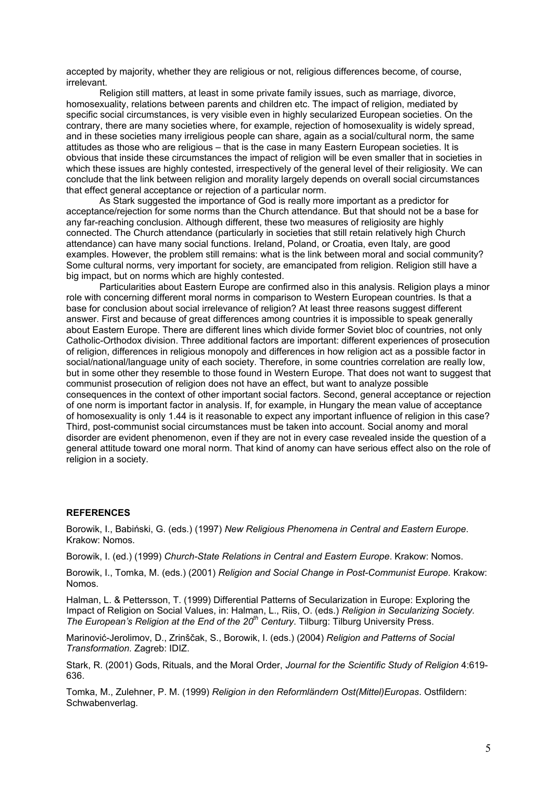accepted by majority, whether they are religious or not, religious differences become, of course, irrelevant.

Religion still matters, at least in some private family issues, such as marriage, divorce, homosexuality, relations between parents and children etc. The impact of religion, mediated by specific social circumstances, is very visible even in highly secularized European societies. On the contrary, there are many societies where, for example, rejection of homosexuality is widely spread, and in these societies many irreligious people can share, again as a social/cultural norm, the same attitudes as those who are religious – that is the case in many Eastern European societies. It is obvious that inside these circumstances the impact of religion will be even smaller that in societies in which these issues are highly contested, irrespectively of the general level of their religiosity. We can conclude that the link between religion and morality largely depends on overall social circumstances that effect general acceptance or rejection of a particular norm.

As Stark suggested the importance of God is really more important as a predictor for acceptance/rejection for some norms than the Church attendance. But that should not be a base for any far-reaching conclusion. Although different, these two measures of religiosity are highly connected. The Church attendance (particularly in societies that still retain relatively high Church attendance) can have many social functions. Ireland, Poland, or Croatia, even Italy, are good examples. However, the problem still remains: what is the link between moral and social community? Some cultural norms, very important for society, are emancipated from religion. Religion still have a big impact, but on norms which are highly contested.

Particularities about Eastern Europe are confirmed also in this analysis. Religion plays a minor role with concerning different moral norms in comparison to Western European countries. Is that a base for conclusion about social irrelevance of religion? At least three reasons suggest different answer. First and because of great differences among countries it is impossible to speak generally about Eastern Europe. There are different lines which divide former Soviet bloc of countries, not only Catholic-Orthodox division. Three additional factors are important: different experiences of prosecution of religion, differences in religious monopoly and differences in how religion act as a possible factor in social/national/language unity of each society. Therefore, in some countries correlation are really low, but in some other they resemble to those found in Western Europe. That does not want to suggest that communist prosecution of religion does not have an effect, but want to analyze possible consequences in the context of other important social factors. Second, general acceptance or rejection of one norm is important factor in analysis. If, for example, in Hungary the mean value of acceptance of homosexuality is only 1.44 is it reasonable to expect any important influence of religion in this case? Third, post-communist social circumstances must be taken into account. Social anomy and moral disorder are evident phenomenon, even if they are not in every case revealed inside the question of a general attitude toward one moral norm. That kind of anomy can have serious effect also on the role of religion in a society.

#### **REFERENCES**

Borowik, I., Babiński, G. (eds.) (1997) *New Religious Phenomena in Central and Eastern Europe*. Krakow: Nomos.

Borowik, I. (ed.) (1999) *Church-State Relations in Central and Eastern Europe*. Krakow: Nomos.

Borowik, I., Tomka, M. (eds.) (2001) *Religion and Social Change in Post-Communist Europe.* Krakow: Nomos.

Halman, L. & Pettersson, T. (1999) Differential Patterns of Secularization in Europe: Exploring the Impact of Religion on Social Values, in: Halman, L., Riis, O. (eds.) *Religion in Secularizing Society. The European's Religion at the End of the 20th Century*. Tilburg: Tilburg University Press.

Marinović-Jerolimov, D., Zrinščak, S., Borowik, I. (eds.) (2004) *Religion and Patterns of Social Transformation.* Zagreb: IDIZ.

Stark, R. (2001) Gods, Rituals, and the Moral Order, *Journal for the Scientific Study of Religion* 4:619- 636.

Tomka, M., Zulehner, P. M. (1999) *Religion in den Reformländern Ost(Mittel)Europas*. Ostfildern: Schwabenverlag.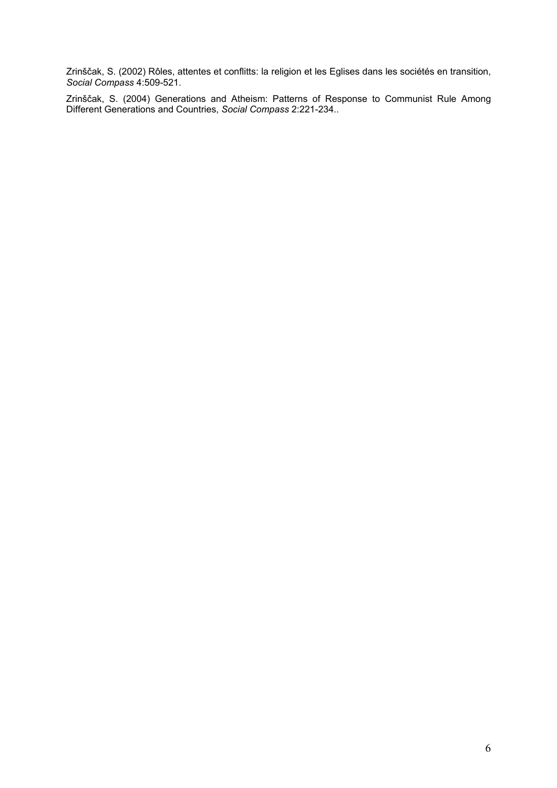Zrinščak, S. (2002) Rôles, attentes et conflitts: la religion et les Eglises dans les sociétés en transition, *Social Compass* 4:509-521.

Zrinščak, S. (2004) Generations and Atheism: Patterns of Response to Communist Rule Among Different Generations and Countries, *Social Compass* 2:221-234..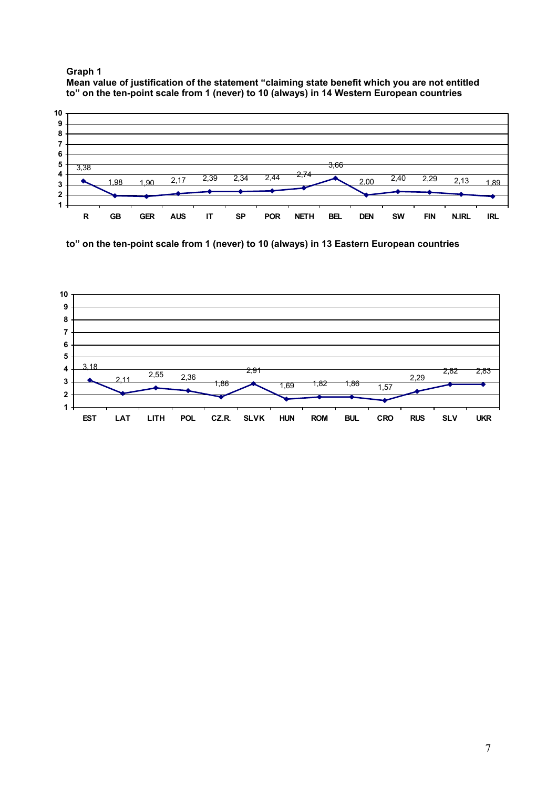#### **Graph 1**

**Mean value of justification of the statement "claiming state benefit which you are not entitled to" on the ten-point scale from 1 (never) to 10 (always) in 14 Western European countries** 



**to" on the ten-point scale from 1 (never) to 10 (always) in 13 Eastern European countries** 

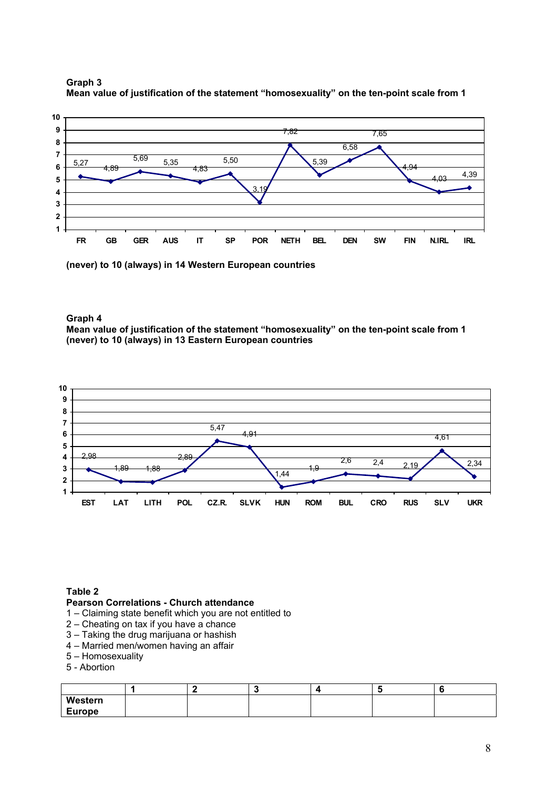



**(never) to 10 (always) in 14 Western European countries** 

#### **Graph 4**

**Mean value of justification of the statement "homosexuality" on the ten-point scale from 1 (never) to 10 (always) in 13 Eastern European countries** 



## **Table 2**

#### **Pearson Correlations - Church attendance**

- 1 Claiming state benefit which you are not entitled to
- 2 Cheating on tax if you have a chance
- 3 Taking the drug marijuana or hashish
- 4 Married men/women having an affair
- 5 Homosexuality
- 5 Abortion

| Western       |  |  |  |
|---------------|--|--|--|
| <b>Europe</b> |  |  |  |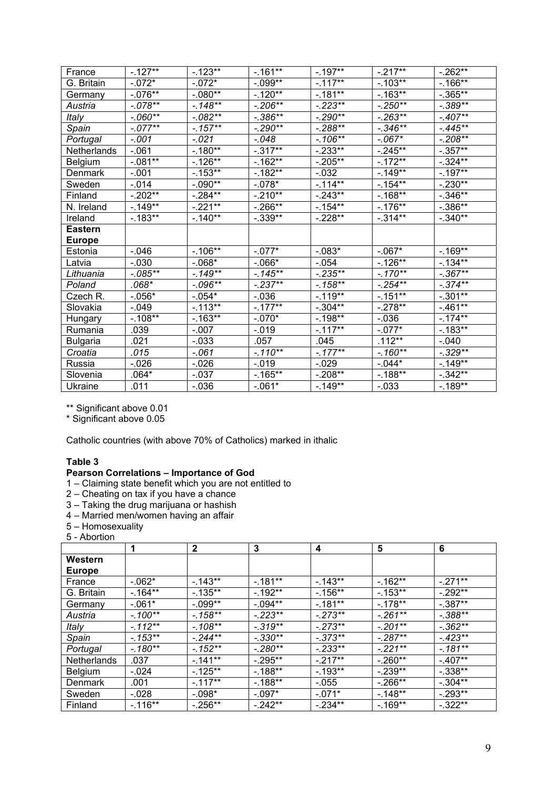| France             | $-127**$  | $-.123**$  | $-0.161**$ | $-0.197**$ | $-.217**$  | $-.262**$  |
|--------------------|-----------|------------|------------|------------|------------|------------|
| G. Britain         | $-072*$   | $-0.072*$  | $-.099**$  | $-117**$   | $-.103**$  | $-0.166**$ |
| Germany            | $-.076**$ | $-.080**$  | $-.120**$  | $-.181***$ | $-.163**$  | $-.365**$  |
| Austria            | $-.078**$ | $-148**$   | $-.206**$  | $-.223**$  | $-.250**$  | $-.389**$  |
| Italy              | $-060**$  | $-.082**$  | $-.386**$  | $-.290**$  | $-.263**$  | $-.407**$  |
| Spain              | $-.077**$ | $-.157**$  | $-.290**$  | $-.288**$  | $-.346**$  | $-.445**$  |
| Portugal           | -.001     | -.021      | $-.048$    | $-106**$   | $-.067*$   | $-.208**$  |
| <b>Netherlands</b> | $-061$    | $-180**$   | $-.317***$ | $-.233**$  | $-.245**$  | $-.357***$ |
| Belgium            | $-.081**$ | $-.126**$  | $-0.162**$ | $-.205**$  | $-.172**$  | $-.324**$  |
| Denmark            | $-.001$   | $-153**$   | $-0.182**$ | $-0.032$   | $-.149**$  | $-.197**$  |
| Sweden             | $-.014$   | $-.090**$  | $-.078*$   | $-114**$   | $-154**$   | $-.230**$  |
| Finland            | $-.202**$ | $-.284***$ | $-.210**$  | $-.243**$  | $-0.168**$ | $-.346**$  |
| N. Ireland         | $-149**$  | $-.221***$ | $-.266**$  | $-154**$   | $-176***$  | $-.386**$  |
| Ireland            | $-183**$  | $-.140**$  | $-.339**$  | $-.228**$  | $-.314**$  | $-.340**$  |
| <b>Eastern</b>     |           |            |            |            |            |            |
| <b>Europe</b>      |           |            |            |            |            |            |
| Estonia            | $-.046$   | $-106**$   | $-.077*$   | $-.083*$   | $-.067*$   | $-.169**$  |
| Latvia             | $-0.30$   | $-068*$    | $-0.066*$  | -.054      | $-126**$   | $-134**$   |
| Lithuania          | $-.085**$ | $-.149**$  | $-145**$   | $-.235**$  | $-.170**$  | $-.367**$  |
| Poland             | .068*     | $-.096**$  | $-.237**$  | $-158**$   | $-.254**$  | $-.374**$  |
| Czech R.           | $-056*$   | $-0.54*$   | $-0.036$   | $-.119**$  | $-.151**$  | $-.301**$  |
| Slovakia           | -.049     | $-.113**$  | $-.177**$  | $-.304**$  | $-.278**$  | $-.461**$  |
| Hungary            | $-108**$  | $-0.163**$ | $-.070*$   | $-.198**$  | $-0.036$   | $-.174**$  |
| Rumania            | .039      | $-.007$    | $-.019$    | $-.117**$  | $-.077*$   | $-0.183**$ |
| <b>Bulgaria</b>    | .021      | $-.033$    | .057       | .045       | $.112***$  | $-.040$    |
| Croatia            | .015      | $-.061$    | $-110**$   | $-.177**$  | $-.160**$  | $-.329**$  |
| Russia             | $-.026$   | $-.026$    | $-.019$    | $-.029$    | $-044*$    | $-.149**$  |
| Slovenia           | $.064*$   | $-.037$    | $-0.165**$ | $-.208**$  | $-0.188**$ | $-.342**$  |
| Ukraine            | .011      | $-0.036$   | $-.061*$   | $-149**$   | $-.033$    | $-189**$   |

\*\* Significant above 0.01

\* Significant above 0.05

Catholic countries (with above 70% of Catholics) marked in ithalic

## **Table 3**

## **Pearson Correlations – Importance of God**

- 1 Claiming state benefit which you are not entitled to
- 2 Cheating on tax if you have a chance
- 3 Taking the drug marijuana or hashish
- 4 Married men/women having an affair
- 5 Homosexuality
- 5 Abortion

|                    | 1         | $\mathbf{2}$ | 3          | 4         | $5\phantom{1}$ | 6          |
|--------------------|-----------|--------------|------------|-----------|----------------|------------|
| Western            |           |              |            |           |                |            |
| <b>Europe</b>      |           |              |            |           |                |            |
| France             | $-062*$   | $-143**$     | $-.181**$  | $-143**$  | $-162**$       | $-.271**$  |
| G. Britain         | $-164**$  | $-135**$     | $-192**$   | $-156**$  | $-.153**$      | $-.292**$  |
| Germany            | $-061*$   | $-.099**$    | $-0.094**$ | $-181**$  | $-.178**$      | $-.387**$  |
| Austria            | $-.100**$ | $-158**$     | $-223**$   | $-.273**$ | $-.261**$      | $-388**$   |
| Italy              | $-112**$  | $-.108**$    | $-0.319**$ | $-.273**$ | $-.201**$      | $-.362**$  |
| Spain              | $-153**$  | $-.244**$    | $-.330**$  | $-.373**$ | $-.287**$      | $-423**$   |
| Portugal           | $-.180**$ | $-152**$     | $-.280**$  | $-.233**$ | $-.221**$      | $-.181**$  |
| <b>Netherlands</b> | .037      | $-141**$     | $-.295**$  | $-.217**$ | $-.260**$      | $-.407**$  |
| <b>Belgium</b>     | $-.024$   | $-125**$     | $-188**$   | $-.193**$ | $-.239**$      | $-0.338**$ |
| Denmark            | .001      | $-117**$     | $-188**$   | $-.055$   | $-.266**$      | $-.304**$  |
| Sweden             | $-.028$   | $-.098*$     | $-.097*$   | $-.071*$  | $-.148**$      | $-.293**$  |
| Finland            | $-116**$  | $-.256**$    | $-.242**$  | $-.234**$ | $-169**$       | $-.322**$  |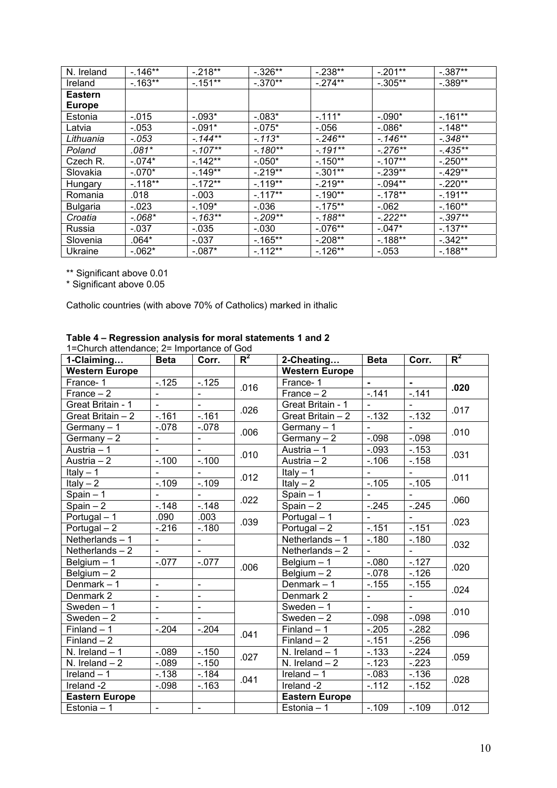| N. Ireland      | $-146**$ | $-.218**$ | $-0.326**$ | $-238**$   | $-.201**$ | $-.387**$  |
|-----------------|----------|-----------|------------|------------|-----------|------------|
| Ireland         | $-163**$ | $-151**$  | $-.370**$  | $-.274**$  | $-.305**$ | $-.389**$  |
| Eastern         |          |           |            |            |           |            |
| <b>Europe</b>   |          |           |            |            |           |            |
| Estonia         | $-.015$  | $-0.93*$  | $-.083*$   | $-.111*$   | $-.090*$  | $-.161**$  |
| Latvia          | $-.053$  | $-091*$   | $-.075*$   | $-.056$    | $-0.086*$ | $-148**$   |
| Lithuania       | $-.053$  | $-144**$  | $-113*$    | $-.246**$  | $-146**$  | $-0.348**$ |
| Poland          | .081*    | $-.107**$ | $-.180**$  | $-.191**$  | $-.276**$ | $-435**$   |
| Czech R.        | $-.074*$ | $-142**$  | $-.050*$   | $-.150**$  | $-.107**$ | $-.250**$  |
| Slovakia        | $-070*$  | $-149**$  | $-.219**$  | $-.301***$ | $-.239**$ | $-429**$   |
| Hungary         | $-118**$ | $-172**$  | $-119**$   | $-.219**$  | $-.094**$ | $-.220**$  |
| Romania         | .018     | $-.003$   | $-.117**$  | $-190**$   | $-.178**$ | $-.191**$  |
| <b>Bulgaria</b> | $-023$   | $-109*$   | $-0.036$   | $-175**$   | $-062$    | $-.160**$  |
| Croatia         | $-.068*$ | $-.163**$ | $-.209**$  | $-188**$   | $-.222**$ | $-.397**$  |
| Russia          | $-.037$  | $-0.035$  | $-.030$    | $-0.076**$ | $-.047*$  | $-137**$   |
| Slovenia        | $.064*$  | $-037$    | $-165**$   | $-.208**$  | $-188**$  | $-.342**$  |
| Ukraine         | $-062*$  | $-.087*$  | $-112**$   | $-.126**$  | $-.053$   | $-0.188**$ |

\*\* Significant above 0.01

\* Significant above 0.05

Catholic countries (with above 70% of Catholics) marked in ithalic

#### **Table 4 – Regression analysis for moral statements 1 and 2**

| 1=Church attendance; 2= importance of God<br>1-Claiming | <b>Beta</b>                  | Corr.          | $R^2$ | 2-Cheating            | <b>Beta</b>    | Corr.          | $R^2$ |
|---------------------------------------------------------|------------------------------|----------------|-------|-----------------------|----------------|----------------|-------|
| <b>Western Europe</b>                                   |                              |                |       | <b>Western Europe</b> |                |                |       |
| France-1                                                | $-125$                       | $-.125$        | .016  | France-1              |                | $\blacksquare$ | .020  |
| France $-2$                                             | $\blacksquare$               | $\frac{1}{2}$  |       | France $-2$           | $-141$         | $-141$         |       |
| Great Britain - 1                                       | $\overline{a}$               | $\mathbf{r}$   | .026  | Great Britain - 1     |                |                | .017  |
| Great Britain - 2                                       | $-0.161$                     | $-161$         |       | Great Britain - 2     | $-132$         | $-132$         |       |
| Germany - 1                                             | $-.078$                      | $-.078$        | .006  | Germany - 1           | $\blacksquare$ | $\blacksquare$ | .010  |
| Germany $-2$                                            | $\frac{1}{2}$                | $\blacksquare$ |       | Germany $-2$          | $-0.98$        | $-0.098$       |       |
| Austria - 1                                             | $\overline{a}$               | L.             | .010  | Austria - 1           | $-.093$        | $-153$         | .031  |
| Austria - 2                                             | $-.100$                      | $-.100$        |       | Austria - 2           | $-.106$        | $-158$         |       |
| Italy $-1$                                              | $\overline{a}$               | $\blacksquare$ | .012  | Italy $-1$            | $\equiv$       |                | .011  |
| Italy $\overline{-2}$                                   | $-.109$                      | $-.109$        |       | Italy $-\overline{2}$ | $-.105$        | $-.105$        |       |
| $Spin-1$                                                | $\blacksquare$               | $\blacksquare$ | .022  | Spain $-1$            | $\blacksquare$ | $\blacksquare$ | .060  |
| Spain $-2$                                              | $-0.148$                     | $-.148$        |       | Spain $-2$            | $-245$         | $-245$         |       |
| Portugal $-1$                                           | .090                         | .003           | .039  | Portugal - 1          | $\mathbf{r}$   | $\equiv$       | .023  |
| Portugal $-2$                                           | $-216$                       | $-.180$        |       | Portugal $-2$         | $-151$         | $-151$         |       |
| Netherlands-1                                           | $\qquad \qquad \blacksquare$ | $\blacksquare$ |       | Netherlands $-1$      | $-.180$        | $-.180$        | .032  |
| Netherlands $-2$                                        | $\overline{a}$               | $\sim$         |       | Netherlands $-2$      |                |                |       |
| Belgium $-1$                                            | $-.077$                      | $-0.77$        | .006  | Belgium - 1           | $-080$         | $-.127$        | .020  |
| Belgium $-2$                                            |                              |                |       | Belgium $-2$          | $-.078$        | $-.126$        |       |
| Denmark-1                                               | $\overline{a}$               | $\blacksquare$ |       | Denmark-1             | $-155$         | $-155$         | .024  |
| Denmark 2                                               | $\overline{\phantom{a}}$     | $\overline{a}$ |       | Denmark 2             | $\blacksquare$ | $\frac{1}{2}$  |       |
| Sweden $-1$                                             | $\overline{\phantom{a}}$     | $\blacksquare$ |       | Sweden $-1$           |                | $\blacksquare$ | .010  |
| Sweden $-2$                                             | $\blacksquare$               | $\blacksquare$ |       | Sweden $-2$           | $-.098$        | $-.098$        |       |
| $Finaland - 1$                                          | $-.204$                      | $-.204$        | .041  | $Finaland - 1$        | $-.205$        | $-282$         | .096  |
| Finland $-2$                                            |                              |                |       | $Finaland - 2$        | $-151$         | $-256$         |       |
| $N.$ Ireland $-1$                                       | $-0.089$                     | $-.150$        | .027  | N. Ireland $-1$       | $-133$         | $-224$         | .059  |
| N. Ireland $-2$                                         | $-0.089$                     | $-.150$        |       | N. Ireland $-2$       | $-123$         | $-223$         |       |
| Ireland $-1$                                            | $-138$                       | $-.184$        | .041  | Ireland $-1$          | $-.083$        | $-136$         | .028  |
| Ireland -2                                              | $-0.098$                     | $-.163$        |       | Ireland -2            | $-.112$        | $-152$         |       |
| <b>Eastern Europe</b>                                   |                              |                |       | <b>Eastern Europe</b> |                |                |       |
| Estonia - 1                                             | $\overline{a}$               | $\Delta$       |       | Estonia - 1           | $-109$         | $-.109$        | .012  |

1=Church attendance; 2= Importance of God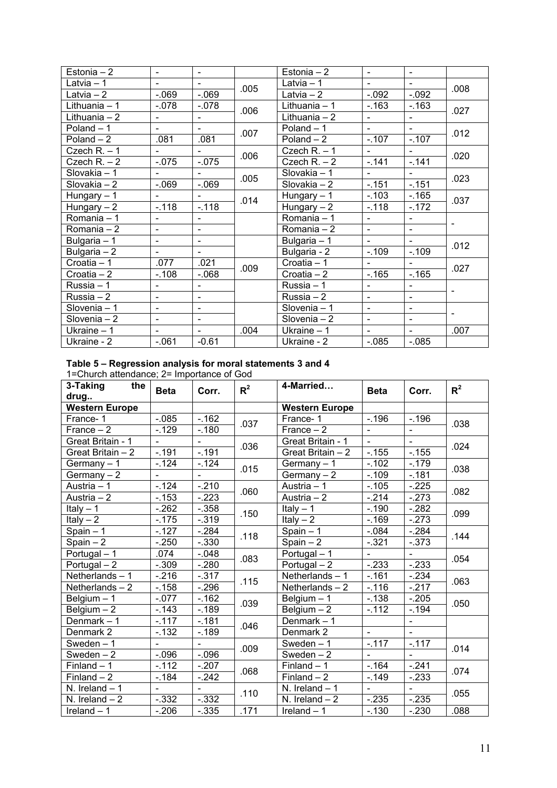| Estonia – 2              |                |                |      | Estonia $-2$   |                |                             |      |
|--------------------------|----------------|----------------|------|----------------|----------------|-----------------------------|------|
| Latvia - 1               | $\overline{a}$ |                | .005 | Latvia - 1     |                | $\blacksquare$              | .008 |
| Latvia $-2$              | $-069$         | $-069$         |      | Latvia $-2$    | $-.092$        | $-0.092$                    |      |
| Lithuania - 1            | $-078$         | $-.078$        | .006 | Lithuania - 1  | $-.163$        | $-163$                      | .027 |
| Lithuania - 2            | $\blacksquare$ |                |      | Lithuania - 2  | $\mathbf{r}$   |                             |      |
| Poland $-1$              | $\blacksquare$ | $\mathbf{u}$   | .007 | Poland $-1$    |                | $\mathbf{r}$                | .012 |
| Poland $-2$              | .081           | .081           |      | Poland $-2$    | $-107$         | $-107$                      |      |
| Czech $R - 1$            | $\overline{a}$ |                | .006 | Czech $R. - 1$ |                | $\sim$                      | .020 |
| Czech $R. - 2$           | $-0.075$       | $-.075$        |      | Czech $R. - 2$ | $-141$         | $-141$                      |      |
| Slovakia - 1             | $\blacksquare$ | $\sim$         | .005 | Slovakia - 1   | $\sim$         | $\sim$                      | .023 |
| Slovakia - 2             | $-069$         | $-069$         |      | Slovakia - 2   | $-151$         | $-151$                      |      |
| Hungary - 1              | $\blacksquare$ | $\sim$         | .014 | Hungary $-1$   | $-.103$        | $-165$                      | .037 |
| Hungary $-2$             | $-.118$        | $-.118$        |      | Hungary $-2$   | $-.118$        | $-172$                      |      |
| Romania - 1              | $\blacksquare$ | $\blacksquare$ |      | Romania - 1    | $\sim$         | $\mathbf{r}$                |      |
| Romania - 2              | $\blacksquare$ | $\omega$       |      | Romania - 2    | $\Delta$       | $\Box$                      |      |
| Bulgaria - 1             | $\blacksquare$ | $\blacksquare$ |      | Bulgaria - 1   | $\sim$         | $\mathcal{L}^{\mathcal{A}}$ | .012 |
| Bulgaria $-2$            | $\blacksquare$ | $\blacksquare$ |      | Bulgaria - 2   | $-.109$        | $-.109$                     |      |
| Croatia – $\overline{1}$ | .077           | .021           | .009 | Croatia - 1    | $\overline{a}$ | $\mathbf{r}$                | .027 |
| Croatia - 2              | $-.108$        | $-068$         |      | Croatia $-2$   | $-.165$        | $-.165$                     |      |
| Russia - 1               | $\blacksquare$ | $\blacksquare$ |      | Russia - 1     | $\blacksquare$ | $\blacksquare$              |      |
| Russia $-2$              | $\blacksquare$ | $\blacksquare$ |      | Russia – 2     | $\blacksquare$ | $\blacksquare$              |      |
| Slovenia - 1             | $\blacksquare$ | $\blacksquare$ |      | Slovenia - 1   | $\mathbf{r}$   | $\blacksquare$              |      |
| Slovenia $-2$            | $\blacksquare$ | $\blacksquare$ |      | Slovenia $-2$  | $\mathbf{r}$   | $\blacksquare$              |      |
| Ukraine $-1$             | $\blacksquare$ | $\blacksquare$ | .004 | Ukraine $-1$   | $\sim$         | $\blacksquare$              | .007 |
| Ukraine - 2              | $-061$         | $-0.61$        |      | Ukraine - 2    | $-0.085$       | $-0.085$                    |      |

# **Table 5 – Regression analysis for moral statements 3 and 4**

1=Church attendance; 2= Importance of God

| 3-Taking<br>the<br>drug | <b>Beta</b> | Corr.          | $R^2$ | 4-Married             | <b>Beta</b>    | Corr.          | $R^2$ |
|-------------------------|-------------|----------------|-------|-----------------------|----------------|----------------|-------|
| <b>Western Europe</b>   |             |                |       | <b>Western Europe</b> |                |                |       |
| France-1                | $-0.085$    | $-.162$        | .037  | France-1              | $-.196$        | $-196$         | .038  |
| France $-2$             | $-.129$     | $-.180$        |       | France $-2$           |                |                |       |
| Great Britain - 1       |             |                | .036  | Great Britain - 1     | $\mathbf{r}$   | $\overline{a}$ | .024  |
| Great Britain - 2       | $-.191$     | $-191$         |       | Great Britain - 2     | $-.155$        | $-155$         |       |
| Germany - 1             | $-.124$     | $-.124$        | .015  | Germany $-1$          | $-102$         | $-179$         | .038  |
| Germany $-2$            |             | $\blacksquare$ |       | Germany $-2$          | $-109$         | $-181$         |       |
| Austria - 1             | $-124$      | $-.210$        | .060  | Austria - 1           | $-.105$        | $-225$         | .082  |
| Austria - 2             | $-.153$     | $-.223$        |       | Austria - 2           | $-214$         | $-273$         |       |
| Italy $-1$              | $-.262$     | $-.358$        | .150  | Italy $-1$            | $-.190$        | $-282$         | .099  |
| Italy $-2$              | $-175$      | $-0.319$       |       | Italy $-2$            | $-.169$        | $-273$         |       |
| $Spin-1$                | $-127$      | $-.284$        | .118  | $Spin-1$              | $-.084$        | $-.284$        | .144  |
| Spain $-2$              | $-250$      | $-.330$        |       | $Spin-2$              | $-0.321$       | $-0.373$       |       |
| Portugal - 1            | .074        | $-.048$        | .083  | Portugal - 1          |                | $\blacksquare$ | .054  |
| Portugal $-2$           | $-.309$     | $-.280$        |       | Portugal $-2$         | $-233$         | $-233$         |       |
| Netherlands-1           | $-216$      | $-0.317$       | .115  | Netherlands $-1$      | $-161$         | $-234$         | .063  |
| Netherlands $-2$        | $-.158$     | $-.296$        |       | Netherlands $-2$      | $-116$         | $-217$         |       |
| Belgium $-1$            | $-0.77$     | $-162$         | .039  | Belgium $-1$          | $-138$         | $-.205$        | .050  |
| Belgium $-2$            | $-143$      | $-189$         |       | Belgium $-2$          | $-.112$        | $-194$         |       |
| Denmark-1               | $-.117$     | $-.181$        | .046  | Denmark-1             |                | $\blacksquare$ |       |
| Denmark 2               | $-132$      | $-.189$        |       | Denmark 2             | $\sim$         | $\blacksquare$ |       |
| Sweden $-1$             |             | $\blacksquare$ | .009  | Sweden $-1$           | $-.117$        | $-.117$        | .014  |
| Sweden - 2              | $-0.096$    | $-0.096$       |       | Sweden $-2$           | $\blacksquare$ | $\blacksquare$ |       |
| Finland $-\overline{1}$ | $-.112$     | $-.207$        | .068  | $Finaland - 1$        | $-164$         | $-241$         | .074  |
| $Finaland - 2$          | $-184$      | $-242$         |       | $Finaland - 2$        | $-149$         | $-233$         |       |
| N. Ireland $-1$         |             | $\blacksquare$ | .110  | N. Ireland $-1$       | $\blacksquare$ | $\mathbf{r}$   |       |
| N. Ireland $-2$         | $-0.332$    | $-0.332$       |       | N. Ireland $-2$       | $-235$         | $-235$         | .055  |
| Ireland $-1$            | $-.206$     | $-0.335$       | .171  | Ireland $-1$          | $-130$         | $-.230$        | .088  |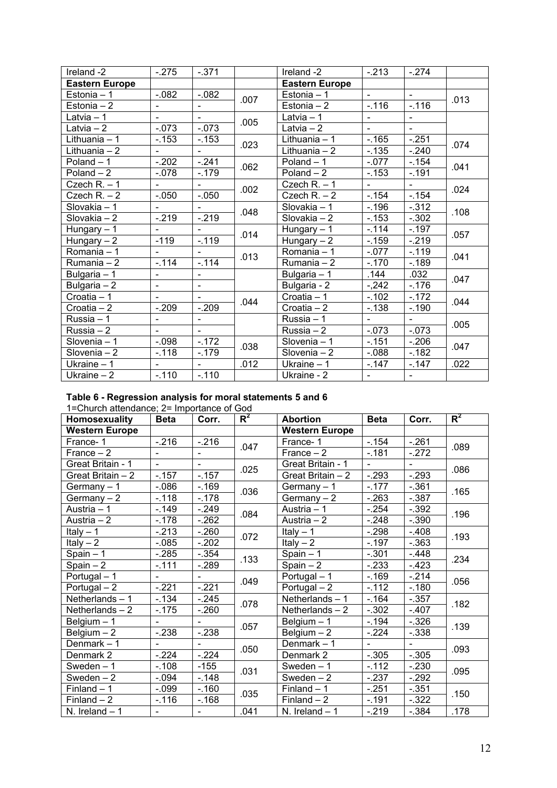| Ireland -2              | $-.275$        | $-.371$                  |      | Ireland -2             | $-213$         | $-274$         |      |
|-------------------------|----------------|--------------------------|------|------------------------|----------------|----------------|------|
| <b>Eastern Europe</b>   |                |                          |      | <b>Eastern Europe</b>  |                |                |      |
| Estonia $-\overline{1}$ | $-0.082$       | $-0.082$                 | .007 | Estonia - 1            | $\mathbf{r}$   | $\sim$         | .013 |
| Estonia – 2             | $\blacksquare$ | $\blacksquare$           |      | Estonia - 2            | $-.116$        | $-.116$        |      |
| Latvia - 1              |                | $\mathbf{r}$             | .005 | Latvia – 1             |                | $\blacksquare$ |      |
| Latvia – $2$            | $-073$         | $-0.073$                 |      | Latvia – $2$           |                | $\mathbf{r}$   |      |
| Lithuania - 1           | $-153$         | $-.153$                  | .023 | Lithuania - 1          | $-165$         | $-251$         | .074 |
| Lithuania - 2           |                |                          |      | Lithuania - 2          | $-135$         | $-.240$        |      |
| Poland $-\overline{1}$  | $-.202$        | $-241$                   | .062 | Poland $-\overline{1}$ | $-0.077$       | $-154$         | .041 |
| Poland $-2$             | $-0.078$       | $-.179$                  |      | Poland $-2$            | $-153$         | $-191$         |      |
| Czech $R - 1$           |                | $\blacksquare$           | .002 | Czech $R. - 1$         |                | $\blacksquare$ | .024 |
| Czech $R - 2$           | $-.050$        | $-0.050$                 |      | Czech $R. - 2$         | $-154$         | $-154$         |      |
| Slovakia - 1            |                |                          | .048 | Slovakia - 1           | $-.196$        | $-0.312$       | .108 |
| Slovakia - 2            | $-219$         | $-219$                   |      | Slovakia - 2           | $-153$         | $-.302$        |      |
| Hungary $-1$            |                |                          | .014 | Hungary $-1$           | $-114$         | $-197$         | .057 |
| Hungary $-2$            | $-119$         | $-.119$                  |      | Hungary $-2$           | $-159$         | $-219$         |      |
| Romania - 1             |                | $\blacksquare$           | .013 | Romania - 1            | $-077$         | $-.119$        | .041 |
| Rumania – 2             | $-114$         | $-114$                   |      | Rumania – 2            | $-.170$        | $-189$         |      |
| Bulgaria $-1$           | $\blacksquare$ | $\equiv$                 |      | Bulgaria - 1           | .144           | .032           | .047 |
| Bulgaria $-2$           | $\blacksquare$ | $\blacksquare$           |      | Bulgaria - 2           | $-242$         | $-.176$        |      |
| Croatia - 1             | $\overline{a}$ | $\mathbf{r}$             | .044 | Croatia - 1            | $-102$         | $-.172$        | .044 |
| Croatia - 2             | $-.209$        | $-.209$                  |      | Croatia - 2            | $-138$         | $-.190$        |      |
| Russia - 1              | $\blacksquare$ | $\blacksquare$           |      | Russia - 1             | $\blacksquare$ | $\blacksquare$ | .005 |
| Russia – 2              | $\mathbf{r}$   | $\Box$                   |      | Russia – 2             | $-.073$        | $-073$         |      |
| Slovenia - 1            | $-0.098$       | $-.172$                  | .038 | Slovenia - 1           | $-151$         | $-.206$        | .047 |
| Slovenia $-2$           | $-.118$        | $-.179$                  |      | Slovenia $-2$          | $-0.088$       | $-182$         |      |
| Ukraine $-1$            | $\blacksquare$ | $\overline{\phantom{0}}$ | .012 | Ukraine $-1$           | $-147$         | $-147$         | .022 |
| Ukraine $-2$            | $-.110$        | $-.110$                  |      | Ukraine - 2            |                | $\blacksquare$ |      |

## **Table 6 - Regression analysis for moral statements 5 and 6**

1=Church attendance; 2= Importance of God

| Homosexuality         | <b>Beta</b> | Corr.   | $R^2$ | <b>Abortion</b>       | <b>Beta</b> | Corr.    | $R^2$ |
|-----------------------|-------------|---------|-------|-----------------------|-------------|----------|-------|
| <b>Western Europe</b> |             |         |       | <b>Western Europe</b> |             |          |       |
| France-1              | $-.216$     | $-216$  | .047  | France-1              | $-154$      | $-261$   | .089  |
| France $-2$           |             |         |       | France $-2$           | $-.181$     | $-.272$  |       |
| Great Britain - 1     |             |         | .025  | Great Britain - 1     |             |          | .086  |
| Great Britain - 2     | $-.157$     | $-.157$ |       | Great Britain - 2     | $-293$      | $-293$   |       |
| Germany – 1           | $-0.086$    | $-169$  | .036  | Germany - 1           | $-177$      | $-0.361$ | .165  |
| Germany – 2           | $-.118$     | $-.178$ |       | Germany $-2$          | $-263$      | $-.387$  |       |
| Austria - 1           | $-.149$     | $-.249$ | .084  | Austria - 1           | $-.254$     | $-0.392$ | .196  |
| Austria - 2           | $-.178$     | $-.262$ |       | Austria - 2           | $-.248$     | $-.390$  |       |
| Italy $-1$            | $-213$      | $-260$  | .072  | Italy - 1             | $-.298$     | $-408$   | .193  |
| Italy $-\overline{2}$ | $-0.085$    | $-.202$ |       | Italy $-2$            | $-.197$     | $-0.363$ |       |
| $Spin-1$              | $-285$      | $-.354$ | .133  | $Spin-1$              | $-.301$     | $-448$   | .234  |
| Spain $-2$            | $-.111$     | $-289$  |       | $Spin-2$              | $-.233$     | $-423$   |       |
| Portugal $-1$         |             |         | .049  | Portugal - 1          | $-169$      | $-214$   | .056  |
| Portugal $-2$         | $-221$      | $-221$  |       | Portugal $-2$         | $-.112$     | $-.180$  |       |
| Netherlands-1         | $-134$      | $-.245$ | .078  | Netherlands-1         | $-164$      | $-0.357$ | .182  |
| Netherlands-2         | $-.175$     | $-260$  |       | Netherlands $-2$      | $-.302$     | $-407$   |       |
| Belgium - 1           |             |         | .057  | Belgium $-1$          | $-194$      | $-.326$  | .139  |
| Belgium $-2$          | $-238$      | $-238$  |       | Belgium $-2$          | $-224$      | $-0.338$ |       |
| Denmark-1             |             |         | .050  | Denmark - 1           |             |          | .093  |
| Denmark 2             | $-.224$     | $-224$  |       | Denmark 2             | $-.305$     | $-.305$  |       |
| Sweden - 1            | $-.108$     | $-155$  | .031  | Sweden - 1            | $-112$      | $-.230$  | .095  |
| Sweden $-2$           | $-.094$     | $-.148$ |       | Sweden $-2$           | $-237$      | $-292$   |       |
| $Finaland - 1$        | $-0.99$     | $-.160$ | .035  | $Finaland - 1$        | $-.251$     | $-0.351$ |       |
| $Finaland - 2$        | $-.116$     | $-168$  |       | $Finaland - 2$        | $-191$      | $-.322$  | .150  |
| N. Ireland $-1$       |             |         | .041  | N. Ireland - 1        | $-219$      | $-.384$  | .178  |